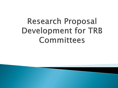# **Research Proposal Development for TRB** Committees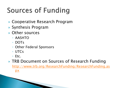## **Sources of Funding**

- ▶ Cooperative Research Program
- Synthesis Program
- ▶ Other sources
	- AASHTO
	- DOTs
	- Other Federal Sponsors
	- UTCs
	- Etc.

### ▶ TRB Document on Sources of Research Funding [http://www.trb.org/ResearchFunding/ResearchFunding.as](http://www.trb.org/ResearchFunding/ResearchFunding.aspx) px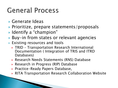## **General Process**

- Generate Ideas
- ▶ Prioritize, prepare statements/proposals
- ▶ Identify a "champion"
- ▶ Buy-in from states or relevant agencies
- Existing resources and tools
	- ▶ TRID Transportation Research International Documentation ( Integration of TRIS and ITRD Databases)
	- Research Needs Statements (RNS) Database
	- Research in Progress (RIP) Database
	- ▶ Practice-Ready Papers Database,
	- ▶ RITA Transportation Research Collaboration Website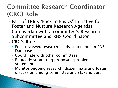### **Committee Research Coordinator** (CRC) Role

- ▶ Part of TRB's "Back to Basics" Initiative for Foster and Nurture Research Agendas
- ▶ Can overlap with a committee's Research Subcommittee and RNS Coordinator
- ▶ CRC's Role:
	- Peer-reviewed research needs statements in RNS Database
	- Coordinate with other committees
	- Regularly submitting proposals/problem statements
	- Monitor ongoing research, disseminate and foster discussion among committee and stakeholders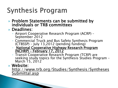## **Synthesis Program**

- ▶ Problem Statements can be submitted by individuals or TRB committees
- **Deadlines:** 
	- Airport Cooperative Research Program (ACRP) September 2012
	- Commercial Truck and Bus Safety Synthesis Program (CTBSSP) – July 13,2012 (pending funding)
	- National Cooperative Highway Research Program (NCHRP) – February 17, 2012
	- Transit Cooperative Research Program (TCRP) are seeking study topics for the Synthesis Studies Program – March 15, 2012

#### Website:

and the contract of the contract of

http://www.trb.org/Studies/Synthesis/Syntheses Submittal.asp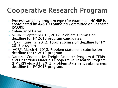## **Cooperative Research Program**

- Process varies by program type (for example NCHRP is coordinated by AASHTO Standing Committee on Research [SCOR])
- ▶ Calendar of Dates
- ▶ NCHRP: September 15, 2012, Problem submission deadline for FY 2013 program candidates.
- ▶ TCRP: June 15, 2012, Topic submission deadline for FY 2013 program
- ACRP: March 4, 2012, Problem statement submission deadline for FY 2013 program
- ▶ National Cooperative Freight Research Program (NCFRP) and Hazardous Materials Cooperative Research Program (HMCRP) -July 31, 2012, Problem statement submissions deadline for FY 2013 program.